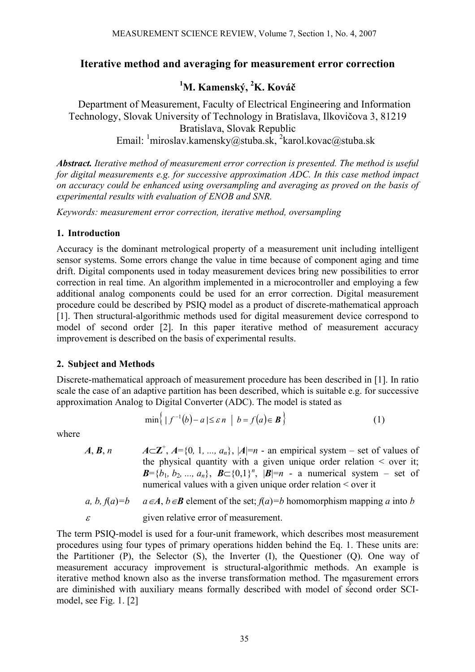# **Iterative method and averaging for measurement error correction**

# **1 M. Kamenský, <sup>2</sup> K. Kováč**

Department of Measurement, Faculty of Electrical Engineering and Information Technology, Slovak University of Technology in Bratislava, Ilkovičova 3, 81219 Bratislava, Slovak Republic Email: <sup>1</sup>miroslav.kamensky@stuba.sk, <sup>2</sup>karol.kovac@stuba.sk

*Abstract. Iterative method of measurement error correction is presented. The method is useful for digital measurements e.g. for successive approximation ADC. In this case method impact on accuracy could be enhanced using oversampling and averaging as proved on the basis of experimental results with evaluation of ENOB and SNR.* 

*Keywords: measurement error correction, iterative method, oversampling* 

### **1. Introduction**

Accuracy is the dominant metrological property of a measurement unit including intelligent sensor systems. Some errors change the value in time because of component aging and time drift. Digital components used in today measurement devices bring new possibilities to error correction in real time. An algorithm implemented in a microcontroller and employing a few additional analog components could be used for an error correction. Digital measurement procedure could be described by PSIQ model as a product of discrete-mathematical approach [1]. Then structural-algorithmic methods used for digital measurement device correspond to model of second order [2]. In this paper iterative method of measurement accuracy improvement is described on the basis of experimental results.

### **2. Subject and Methods**

Discrete-mathematical approach of measurement procedure has been described in [1]. In ratio scale the case of an adaptive partition has been described, which is suitable e.g. for successive approximation Analog to Digital Converter (ADC). The model is stated as

$$
\min\left\{ |f^{-1}(b) - a| \leq \varepsilon n \mid b = f(a) \in \mathbf{B} \right\} \tag{1}
$$

where

 $A$ ,  $B$ ,  $n$  $A \subset \mathbb{Z}^+$ ,  $A = \{0, 1, ..., a_n\}$ ,  $|A| = n$  - an empirical system – set of values of the physical quantity with a given unique order relation  $\leq$  over it; *B*={*b*<sub>1</sub>*, b*<sub>2</sub>*, ..., a<sub>n</sub>*}, *B*⊂{0,1}<sup>*n*</sup>, |*B*|=*n* - a numerical system – set of numerical values with a given unique order relation < over it

*a, b, f(a)=b* 
$$
a \in A, b \in B
$$
 element of the set;  $f(a)=b$  homomorphism mapping *a* into *b* given relative error of measurement.

The term PSIQ-model is used for a four-unit framework, which describes most measurement procedures using four types of primary operations hidden behind the Eq. 1. These units are: the Partitioner (P), the Selector (S), the Inverter (I), the Questioner (Q). One way of measurement accuracy improvement is structural-algorithmic methods. An example is iterative method known also as the inverse transformation method. The measurement errors are diminished with auxiliary means formally described with model of second order SCImodel, see Fig. 1. [2]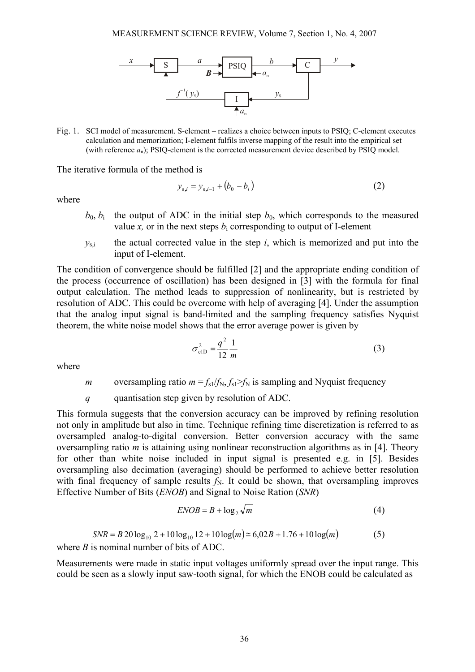

Fig. 1. SCI model of measurement. S-element – realizes a choice between inputs to PSIQ; C-element executes calculation and memorization; I-element fulfils inverse mapping of the result into the empirical set (with reference *a*n); PSIQ-element is the corrected measurement device described by PSIQ model.

The iterative formula of the method is

$$
y_{s,i} = y_{s,i-1} + (b_0 - b_i)
$$
 (2)

where

- $b_0$ ,  $b_i$  the output of ADC in the initial step  $b_0$ , which corresponds to the measured value *x*, or in the next steps  $b_i$  corresponding to output of I-element
- $y_{s,i}$  the actual corrected value in the step  $i$ , which is memorized and put into the input of I-element.

The condition of convergence should be fulfilled [2] and the appropriate ending condition of the process (occurrence of oscillation) has been designed in [3] with the formula for final output calculation. The method leads to suppression of nonlinearity, but is restricted by resolution of ADC. This could be overcome with help of averaging [4]. Under the assumption that the analog input signal is band-limited and the sampling frequency satisfies Nyquist theorem, the white noise model shows that the error average power is given by

$$
\sigma_{\text{elD}}^2 = \frac{q^2}{12} \frac{1}{m} \tag{3}
$$

where

*m* oversampling ratio  $m = f_{s1}/f_N$ ,  $f_{s1} > f_N$  is sampling and Nyquist frequency

*q* quantisation step given by resolution of ADC.

This formula suggests that the conversion accuracy can be improved by refining resolution not only in amplitude but also in time. Technique refining time discretization is referred to as oversampled analog-to-digital conversion. Better conversion accuracy with the same oversampling ratio *m* is attaining using nonlinear reconstruction algorithms as in [4]. Theory for other than white noise included in input signal is presented e.g. in [5]. Besides oversampling also decimation (averaging) should be performed to achieve better resolution with final frequency of sample results  $f_N$ . It could be shown, that oversampling improves Effective Number of Bits (*ENOB*) and Signal to Noise Ration (*SNR*)

$$
ENOB = B + \log_2 \sqrt{m} \tag{4}
$$

$$
SNR = B \cdot 20 \log_{10} 2 + 10 \log_{10} 12 + 10 \log(m) \approx 6,02B + 1.76 + 10 \log(m) \tag{5}
$$

where *B* is nominal number of bits of ADC.

Measurements were made in static input voltages uniformly spread over the input range. This could be seen as a slowly input saw-tooth signal, for which the ENOB could be calculated as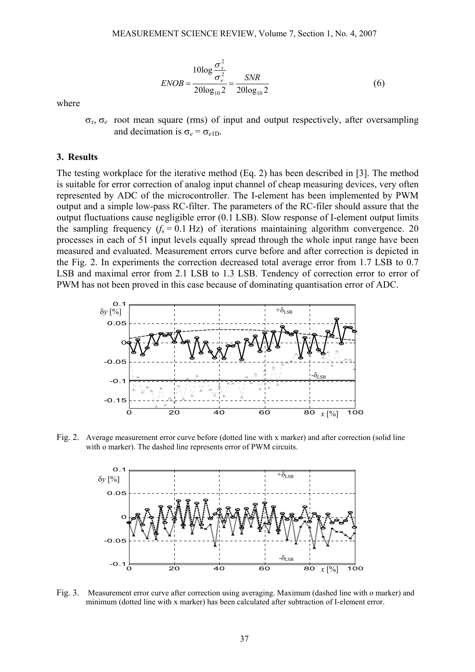$$
ENOB = \frac{10\log\frac{\sigma_x^2}{\sigma_e^2}}{20\log_{10}2} = \frac{SNR}{20\log_{10}2}
$$
 (6)

where

σ*x*, σ*e* root mean square (rms) of input and output respectively, after oversampling and decimation is  $\sigma_e = \sigma_{e1D}$ .

#### **3. Results**

The testing workplace for the iterative method (Eq. 2) has been described in [3]. The method is suitable for error correction of analog input channel of cheap measuring devices, very often represented by ADC of the microcontroller. The I-element has been implemented by PWM output and a simple low-pass RC-filter. The parameters of the RC-filer should assure that the output fluctuations cause negligible error (0.1 LSB). Slow response of I-element output limits the sampling frequency  $(f_s = 0.1 \text{ Hz})$  of iterations maintaining algorithm convergence. 20 processes in each of 51 input levels equally spread through the whole input range have been measured and evaluated. Measurement errors curve before and after correction is depicted in the Fig. 2. In experiments the correction decreased total average error from 1.7 LSB to 0.7 LSB and maximal error from 2.1 LSB to 1.3 LSB. Tendency of correction error to error of PWM has not been proved in this case because of dominating quantisation error of ADC.



Fig. 2. Average measurement error curve before (dotted line with x marker) and after correction (solid line with o marker). The dashed line represents error of PWM circuits.



Fig. 3. Measurement error curve after correction using averaging. Maximum (dashed line with o marker) and minimum (dotted line with x marker) has been calculated after subtraction of I-element error.